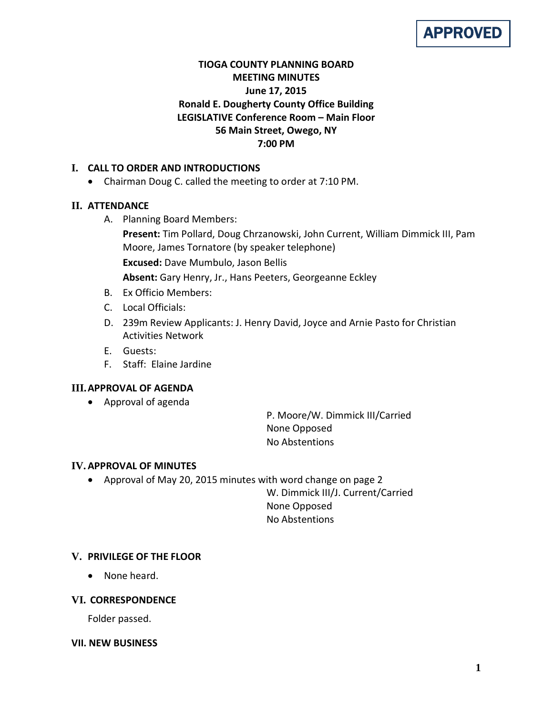# APPROVED

# **TIOGA COUNTY PLANNING BOARD MEETING MINUTES June 17, 2015 Ronald E. Dougherty County Office Building LEGISLATIVE Conference Room – Main Floor 56 Main Street, Owego, NY 7:00 PM**

# **I. CALL TO ORDER AND INTRODUCTIONS**

• Chairman Doug C. called the meeting to order at 7:10 PM.

# **II. ATTENDANCE**

A. Planning Board Members:

**Present:** Tim Pollard, Doug Chrzanowski, John Current, William Dimmick III, Pam Moore, James Tornatore (by speaker telephone)

**Excused:** Dave Mumbulo, Jason Bellis

**Absent:** Gary Henry, Jr., Hans Peeters, Georgeanne Eckley

- B. Ex Officio Members:
- C. Local Officials:
- D. 239m Review Applicants: J. Henry David, Joyce and Arnie Pasto for Christian Activities Network
- E. Guests:
- F. Staff: Elaine Jardine

# **III.APPROVAL OF AGENDA**

• Approval of agenda

P. Moore/W. Dimmick III/Carried None Opposed No Abstentions

#### **IV.APPROVAL OF MINUTES**

• Approval of May 20, 2015 minutes with word change on page 2

W. Dimmick III/J. Current/Carried None Opposed No Abstentions

# **V. PRIVILEGE OF THE FLOOR**

• None heard.

#### **VI. CORRESPONDENCE**

Folder passed.

#### **VII. NEW BUSINESS**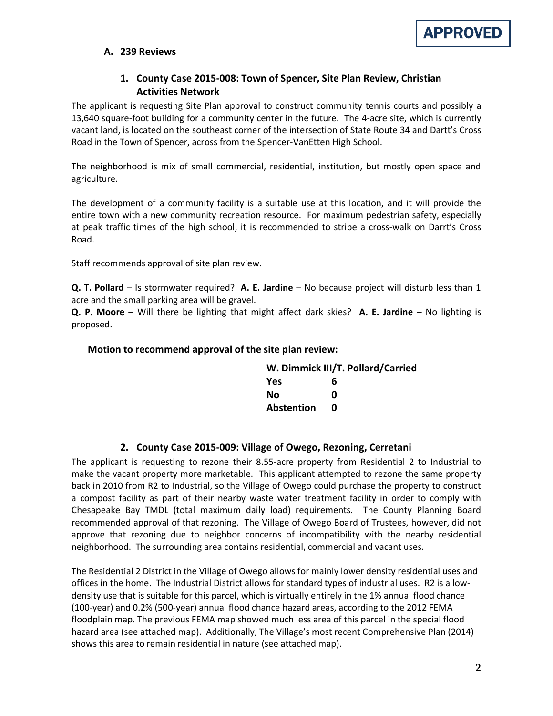#### **A. 239 Reviews**

#### **1. County Case 2015-008: Town of Spencer, Site Plan Review, Christian Activities Network**

The applicant is requesting Site Plan approval to construct community tennis courts and possibly a 13,640 square-foot building for a community center in the future. The 4-acre site, which is currently vacant land, is located on the southeast corner of the intersection of State Route 34 and Dartt's Cross Road in the Town of Spencer, across from the Spencer-VanEtten High School.

The neighborhood is mix of small commercial, residential, institution, but mostly open space and agriculture.

The development of a community facility is a suitable use at this location, and it will provide the entire town with a new community recreation resource. For maximum pedestrian safety, especially at peak traffic times of the high school, it is recommended to stripe a cross-walk on Darrt's Cross Road.

Staff recommends approval of site plan review.

**Q. T. Pollard** – Is stormwater required? **A. E. Jardine** – No because project will disturb less than 1 acre and the small parking area will be gravel.

**Q. P. Moore** – Will there be lighting that might affect dark skies? **A. E. Jardine** – No lighting is proposed.

#### **Motion to recommend approval of the site plan review:**

|                   | W. Dimmick III/T. Pollard/Carried |
|-------------------|-----------------------------------|
| <b>Yes</b>        | 6                                 |
| Nο                | n                                 |
| <b>Abstention</b> | n                                 |

#### **2. County Case 2015-009: Village of Owego, Rezoning, Cerretani**

The applicant is requesting to rezone their 8.55-acre property from Residential 2 to Industrial to make the vacant property more marketable. This applicant attempted to rezone the same property back in 2010 from R2 to Industrial, so the Village of Owego could purchase the property to construct a compost facility as part of their nearby waste water treatment facility in order to comply with Chesapeake Bay TMDL (total maximum daily load) requirements. The County Planning Board recommended approval of that rezoning. The Village of Owego Board of Trustees, however, did not approve that rezoning due to neighbor concerns of incompatibility with the nearby residential neighborhood. The surrounding area contains residential, commercial and vacant uses.

The Residential 2 District in the Village of Owego allows for mainly lower density residential uses and offices in the home. The Industrial District allows for standard types of industrial uses. R2 is a lowdensity use that is suitable for this parcel, which is virtually entirely in the 1% annual flood chance (100-year) and 0.2% (500-year) annual flood chance hazard areas, according to the 2012 FEMA floodplain map. The previous FEMA map showed much less area of this parcel in the special flood hazard area (see attached map). Additionally, The Village's most recent Comprehensive Plan (2014) shows this area to remain residential in nature (see attached map).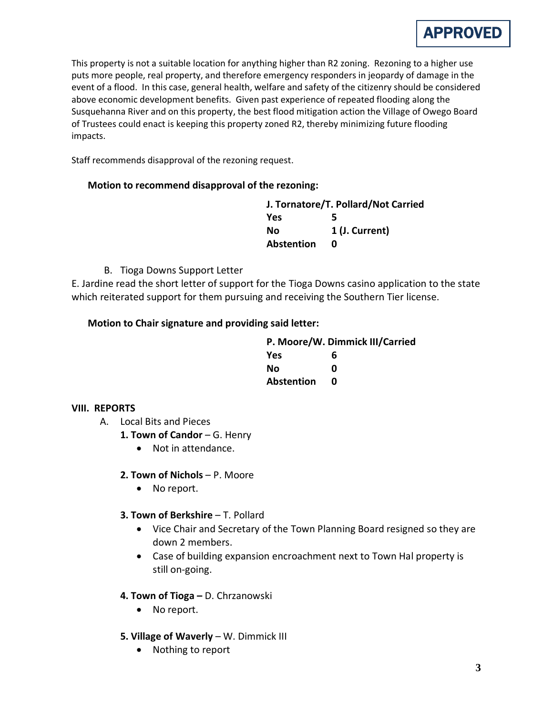

This property is not a suitable location for anything higher than R2 zoning. Rezoning to a higher use puts more people, real property, and therefore emergency responders in jeopardy of damage in the event of a flood. In this case, general health, welfare and safety of the citizenry should be considered above economic development benefits. Given past experience of repeated flooding along the Susquehanna River and on this property, the best flood mitigation action the Village of Owego Board of Trustees could enact is keeping this property zoned R2, thereby minimizing future flooding impacts.

Staff recommends disapproval of the rezoning request.

#### **Motion to recommend disapproval of the rezoning:**

| J. Tornatore/T. Pollard/Not Carried |                |
|-------------------------------------|----------------|
| <b>Yes</b>                          | 5              |
| Nο                                  | 1 (J. Current) |
| Abstention                          | n              |

B. Tioga Downs Support Letter

E. Jardine read the short letter of support for the Tioga Downs casino application to the state which reiterated support for them pursuing and receiving the Southern Tier license.

#### **Motion to Chair signature and providing said letter:**

| P. Moore/W. Dimmick III/Carried |   |
|---------------------------------|---|
| <b>Yes</b>                      | 6 |
| Nο                              | n |
| <b>Abstention</b>               | n |

#### **VIII. REPORTS**

- A. Local Bits and Pieces
	- 1. Town of Candor G. Henry
		- Not in attendance.
	- **2. Town of Nichols**  P. Moore
		- No report.
	- **3. Town of Berkshire**  T. Pollard
		- Vice Chair and Secretary of the Town Planning Board resigned so they are down 2 members.
		- Case of building expansion encroachment next to Town Hal property is still on-going.

#### **4. Town of Tioga –** D. Chrzanowski

- No report.
- **5. Village of Waverly** W. Dimmick III
	- Nothing to report